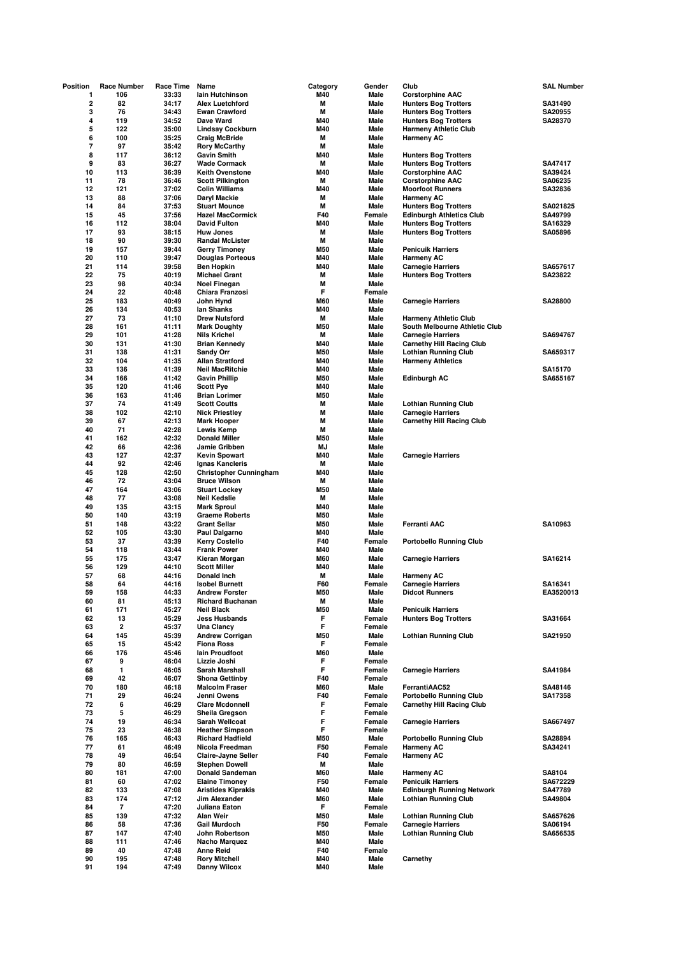| Position                     | <b>Race Number</b>       | Race Time      | Name                                               | Category   | Gender         | Club                                                         | SAL Number          |
|------------------------------|--------------------------|----------------|----------------------------------------------------|------------|----------------|--------------------------------------------------------------|---------------------|
| 1                            | 106                      | 33:33          | lain Hutchinson                                    | M40        | Male           | <b>Corstorphine AAC</b>                                      |                     |
| $\overline{\mathbf{c}}$      | 82                       | 34:17          | <b>Alex Luetchford</b>                             | Μ          | Male           | <b>Hunters Bog Trotters</b>                                  | SA31490             |
| 3                            | 76                       | 34:43          | <b>Ewan Crawford</b>                               | M          | Male           | <b>Hunters Bog Trotters</b>                                  | SA20955             |
| 4                            | 119                      | 34:52          | Dave Ward                                          | M40        | Male           | <b>Hunters Bog Trotters</b>                                  | SA28370             |
| 5                            | 122                      | 35:00          | <b>Lindsay Cockburn</b>                            | M40        | Male           | <b>Harmeny Athletic Club</b>                                 |                     |
| 6                            | 100                      | 35:25          | <b>Craig McBride</b>                               | м          | Male           | <b>Harmeny AC</b>                                            |                     |
| $\overline{\mathbf{r}}$<br>8 | 97<br>117                | 35:42          | <b>Rory McCarthy</b>                               | М<br>M40   | Male<br>Male   |                                                              |                     |
| 9                            | 83                       | 36:12<br>36:27 | <b>Gavin Smith</b><br><b>Wade Cormack</b>          | М          | Male           | <b>Hunters Bog Trotters</b>                                  | SA47417             |
| 10                           | 113                      | 36:39          | <b>Keith Ovenstone</b>                             | M40        | Male           | <b>Hunters Bog Trotters</b><br><b>Corstorphine AAC</b>       | SA39424             |
| 11                           | 78                       | 36:46          | <b>Scott Pilkington</b>                            | M          | Male           | <b>Corstorphine AAC</b>                                      | SA06235             |
| 12                           | 121                      | 37:02          | <b>Colin Williams</b>                              | M40        | Male           | <b>Moorfoot Runners</b>                                      | SA32836             |
| 13                           | 88                       | 37:06          | Daryl Mackie                                       | M          | Male           | <b>Harmeny AC</b>                                            |                     |
| 14                           | 84                       | 37:53          | <b>Stuart Mounce</b>                               | M          | Male           | <b>Hunters Bog Trotters</b>                                  | SA021825            |
| 15                           | 45                       | 37:56          | <b>Hazel MacCormick</b>                            | F40        | Female         | <b>Edinburgh Athletics Club</b>                              | SA49799             |
| 16                           | 112                      | 38:04          | <b>David Fulton</b>                                | M40        | Male           | <b>Hunters Bog Trotters</b>                                  | SA16329             |
| 17                           | 93                       | 38:15          | <b>Huw Jones</b>                                   | M          | Male           | <b>Hunters Bog Trotters</b>                                  | SA05896             |
| 18                           | 90                       | 39:30          | <b>Randal McLister</b>                             | M          | Male           |                                                              |                     |
| 19                           | 157                      | 39:44          | <b>Gerry Timoney</b>                               | M50        | Male           | <b>Penicuik Harriers</b>                                     |                     |
| 20                           | 110                      | 39:47          | <b>Douglas Porteous</b>                            | M40        | Male           | <b>Harmeny AC</b>                                            |                     |
| 21                           | 114                      | 39:58          | <b>Ben Hopkin</b>                                  | M40        | Male           | <b>Carnegie Harriers</b>                                     | SA657617            |
| 22                           | 75                       | 40:19          | <b>Michael Grant</b>                               | M          | Male           | <b>Hunters Bog Trotters</b>                                  | SA23822             |
| 23                           | 98                       | 40:34          | <b>Noel Finegan</b>                                | M          | Male           |                                                              |                     |
| 24                           | 22                       | 40:48          | Chiara Franzosi                                    | F          | Female         |                                                              |                     |
| 25                           | 183                      | 40:49          | John Hynd                                          | M60        | Male           | <b>Carnegie Harriers</b>                                     | SA28800             |
| 26                           | 134                      | 40:53          | lan Shanks                                         | M40        | Male           |                                                              |                     |
| 27                           | 73                       | 41:10          | <b>Drew Nutsford</b>                               | M          | Male           | <b>Harmeny Athletic Club</b>                                 |                     |
| 28                           | 161                      | 41:11          | <b>Mark Doughty</b>                                | <b>M50</b> | Male           | South Melbourne Athletic Club                                |                     |
| 29                           | 101                      | 41:28          | <b>Nils Krichel</b>                                | Μ          | Male           | <b>Carnegie Harriers</b>                                     | SA694767            |
| 30                           | 131                      | 41:30          | <b>Brian Kennedy</b>                               | M40        | Male           | <b>Carnethy Hill Racing Club</b>                             |                     |
| 31                           | 138                      | 41:31          | <b>Sandy Orr</b>                                   | <b>M50</b> | Male           | <b>Lothian Running Club</b>                                  | SA659317            |
| 32                           | 104                      | 41:35          | <b>Allan Stratford</b>                             | M40        | Male           | <b>Harmeny Athletics</b>                                     |                     |
| 33                           | 136                      | 41:39          | <b>Neil MacRitchie</b>                             | M40        | Male           |                                                              | SA15170             |
| 34                           | 166                      | 41:42          | <b>Gavin Phillip</b>                               | <b>M50</b> | Male           | <b>Edinburgh AC</b>                                          | SA655167            |
| 35                           | 120                      | 41:46          | <b>Scott Pye</b>                                   | M40        | Male           |                                                              |                     |
| 36<br>37                     | 163<br>74                | 41:46<br>41:49 | <b>Brian Lorimer</b><br><b>Scott Coutts</b>        | M50<br>Μ   | Male<br>Male   | <b>Lothian Running Club</b>                                  |                     |
| 38                           | 102                      | 42:10          | <b>Nick Priestley</b>                              | М          | Male           | <b>Carnegie Harriers</b>                                     |                     |
| 39                           | 67                       | 42:13          | <b>Mark Hooper</b>                                 | M          | Male           | <b>Carnethy Hill Racing Club</b>                             |                     |
| 40                           | 71                       | 42:28          | <b>Lewis Kemp</b>                                  | M          | Male           |                                                              |                     |
| 41                           | 162                      | 42:32          | <b>Donald Miller</b>                               | M50        | Male           |                                                              |                     |
| 42                           | 66                       | 42:36          | Jamie Gribben                                      | MJ         | Male           |                                                              |                     |
| 43                           | 127                      | 42:37          | <b>Kevin Spowart</b>                               | M40        | Male           | <b>Carnegie Harriers</b>                                     |                     |
| 44                           | 92                       | 42:46          | Ignas Kancleris                                    | M          | Male           |                                                              |                     |
| 45                           | 128                      | 42:50          | <b>Christopher Cunningham</b>                      | M40        | Male           |                                                              |                     |
| 46                           | 72                       | 43:04          | <b>Bruce Wilson</b>                                | M          | Male           |                                                              |                     |
| 47                           | 164                      | 43:06          | <b>Stuart Lockey</b>                               | <b>M50</b> | Male           |                                                              |                     |
| 48                           | 77                       | 43:08          | <b>Neil Kedslie</b>                                | M          | Male           |                                                              |                     |
| 49                           | 135                      | 43:15          | <b>Mark Sproul</b>                                 | M40        | Male           |                                                              |                     |
| 50                           | 140                      | 43:19          | <b>Graeme Roberts</b>                              | M50        | Male           |                                                              |                     |
| 51                           | 148                      | 43:22          | <b>Grant Sellar</b>                                | <b>M50</b> | Male           | <b>Ferranti AAC</b>                                          | SA10963             |
| 52                           | 105                      | 43:30          | Paul Dalgarno                                      | M40        | Male           |                                                              |                     |
| 53                           | 37                       | 43:39          | <b>Kerry Costello</b>                              | F40        | Female         | <b>Portobello Running Club</b>                               |                     |
| 54                           | 118                      | 43:44          | <b>Frank Power</b>                                 | M40        | Male           |                                                              |                     |
| 55                           | 175                      | 43:47          | Kieran Morgan                                      | <b>M60</b> | Male           | <b>Carnegie Harriers</b>                                     | SA16214             |
| 56                           | 129                      | 44:10          | <b>Scott Miller</b>                                | M40        | Male           |                                                              |                     |
| 57                           | 68                       | 44:16          | Donald Inch                                        | M          | Male           | <b>Harmeny AC</b>                                            |                     |
| 58                           | 64                       | 44:16          | <b>Isobel Burnett</b>                              | F60        | Female         | <b>Carnegie Harriers</b>                                     | SA16341             |
| 59                           | 158                      | 44:33          | <b>Andrew Forster</b>                              | M50        | Male           | Didcot Runners                                               |                     |
| 60                           | 81                       | 45:13          | <b>Richard Buchanan</b>                            | М          | Male           |                                                              |                     |
| 61<br>62                     | 171<br>13                | 45:27<br>45:29 | <b>Neil Black</b><br><b>Jess Husbands</b>          | M50<br>F   | Male<br>Female | <b>Penicuik Harriers</b>                                     | SA31664             |
| 63                           | 2                        | 45:37          | Una Clancy                                         | F          | Female         | <b>Hunters Bog Trotters</b>                                  |                     |
| 64                           | 145                      | 45:39          | <b>Andrew Corrigan</b>                             | M50        | Male           | <b>Lothian Running Club</b>                                  | SA21950             |
| 65                           | 15                       | 45:42          | <b>Fiona Ross</b>                                  | F          | Female         |                                                              |                     |
| 66                           | 176                      | 45:46          | lain Proudfoot                                     | M60        | Male           |                                                              |                     |
| 67                           | 9                        | 46:04          | Lizzie Joshi                                       | F          | Female         |                                                              |                     |
| 68                           | 1                        | 46:05          | Sarah Marshall                                     | F          | Female         | <b>Carnegie Harriers</b>                                     | SA41984             |
| 69                           | 42                       | 46:07          | <b>Shona Gettinby</b>                              | F40        | Female         |                                                              |                     |
| 70                           | 180                      | 46:18          | <b>Malcolm Fraser</b>                              | M60        | Male           | FerrantiAAC52                                                | SA48146             |
| 71                           | 29                       | 46:24          | Jenni Owens                                        | F40        | Female         | <b>Portobello Running Club</b>                               | SA17358             |
| 72                           | 6                        | 46:29          | <b>Clare Mcdonnell</b>                             | F          | Female         | <b>Carnethy Hill Racing Club</b>                             |                     |
| 73                           | 5                        | 46:29          | Sheila Gregson                                     | F          | Female         |                                                              |                     |
| 74                           | 19                       | 46:34          | Sarah Wellcoat                                     | F          | Female         | <b>Carnegie Harriers</b>                                     | SA667497            |
| 75                           | 23                       | 46:38          | <b>Heather Simpson</b>                             | F          | Female         |                                                              |                     |
| 76                           | 165                      | 46:43          | <b>Richard Hadfield</b>                            | M50        | Male           | <b>Portobello Running Club</b>                               | SA28894             |
| 77                           | 61                       | 46:49          | Nicola Freedman                                    | F50        | Female         | <b>Harmeny AC</b>                                            | SA34241             |
| 78                           | 49                       | 46:54          | <b>Claire-Jayne Seller</b>                         | F40        | Female         | <b>Harmeny AC</b>                                            |                     |
| 79                           | 80                       | 46:59          | <b>Stephen Dowell</b>                              | Μ          | Male           |                                                              |                     |
| 80<br>81                     | 181<br>60                | 47:00          | <b>Donald Sandeman</b>                             | M60<br>F50 | Male<br>Female | <b>Harmeny AC</b>                                            | SA8104              |
| 82                           | 133                      | 47:02<br>47:08 | <b>Elaine Timoney</b><br><b>Aristides Kiprakis</b> | M40        | Male           | <b>Penicuik Harriers</b><br><b>Edinburgh Running Network</b> | SA672229<br>SA47789 |
| 83                           | 174                      | 47:12          | Jim Alexander                                      | <b>M60</b> | Male           | <b>Lothian Running Club</b>                                  | SA49804             |
| 84                           | $\overline{\phantom{a}}$ | 47:20          | Juliana Eaton                                      | F          | Female         |                                                              |                     |
| 85                           | 139                      | 47:32          | Alan Weir                                          | M50        | Male           | <b>Lothian Running Club</b>                                  | SA657626            |
| 86                           | 58                       | 47:36          | <b>Gail Murdoch</b>                                | F50        | Female         | <b>Carnegie Harriers</b>                                     | SA06194             |
| 87                           | 147                      | 47:40          | John Robertson                                     | M50        | Male           | <b>Lothian Running Club</b>                                  | SA656535            |
| 88                           | 111                      | 47:46          | <b>Nacho Marquez</b>                               | M40        | Male           |                                                              |                     |
| 89                           | 40                       | 47:48          | <b>Anne Reid</b>                                   | F40        | Female         |                                                              |                     |
| 90                           | 195                      | 47:48          | <b>Rory Mitchell</b>                               | M40        | Male           | Carnethy                                                     |                     |
| 91                           | 194                      | 47:49          | <b>Danny Wilcox</b>                                | M40        | Male           |                                                              |                     |
|                              |                          |                |                                                    |            |                |                                                              |                     |